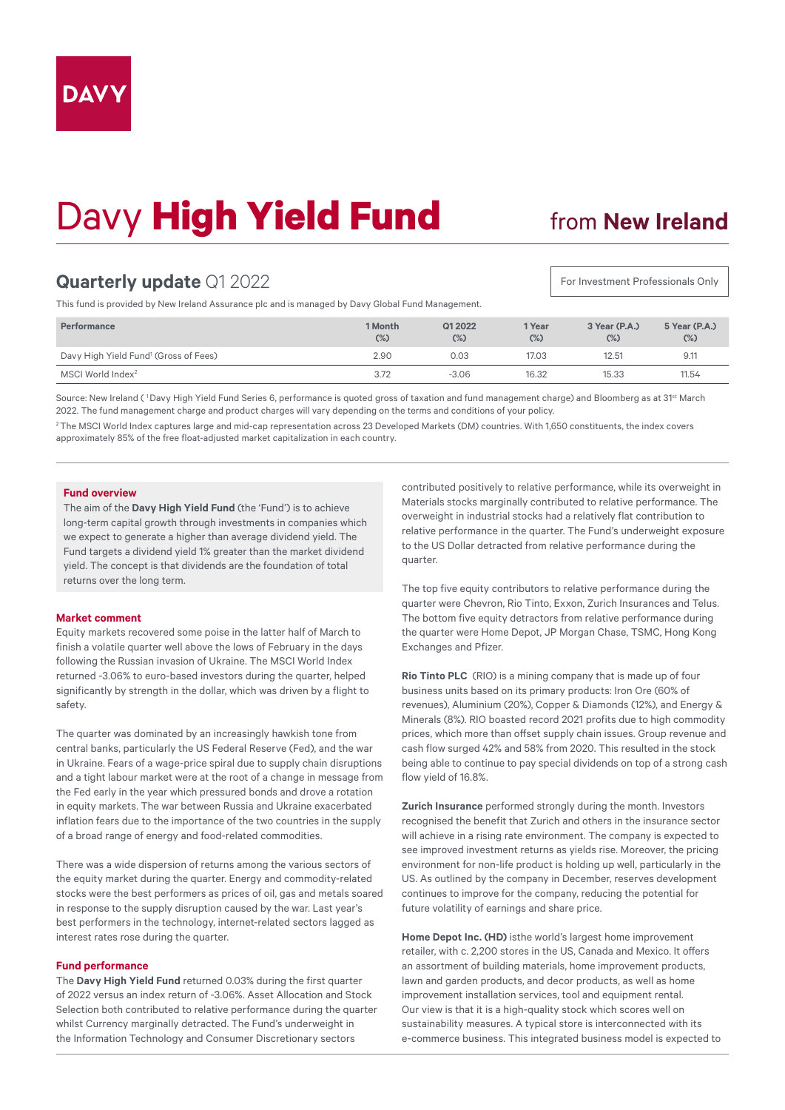# Davy **High Yield Fund**

## from **New Ireland**

For Investment Professionals Only

## **Quarterly update** Q1 2022

This fund is provided by New Ireland Assurance plc and is managed by Davy Global Fund Management.

| Performance                                       | 1 Month<br>$(\%)$ | Q1 2022<br>(%) | 1 Year<br>$(\%)$ | 3 Year (P.A.)<br>$(\%)$ | 5 Year (P.A.)<br>$(\%)$ |
|---------------------------------------------------|-------------------|----------------|------------------|-------------------------|-------------------------|
| Davy High Yield Fund <sup>1</sup> (Gross of Fees) | 2.90              | 0.03           | 17.03            | 12.51                   | 9.11                    |
| MSCI World Index $2$                              | 3.72              | $-3.06$        | 16.32            | 15.33                   | 11.54                   |

Source: New Ireland (<sup>1</sup>Davy High Yield Fund Series 6, performance is quoted gross of taxation and fund management charge) and Bloomberg as at 31<sup>st</sup> March 2022. The fund management charge and product charges will vary depending on the terms and conditions of your policy.

<sup>2</sup> The MSCI World Index captures large and mid-cap representation across 23 Developed Markets (DM) countries. With 1,650 constituents, the index covers approximately 85% of the free float-adjusted market capitalization in each country.

### **Fund overview**

The aim of the **Davy High Yield Fund** (the 'Fund') is to achieve long-term capital growth through investments in companies which we expect to generate a higher than average dividend yield. The Fund targets a dividend yield 1% greater than the market dividend yield. The concept is that dividends are the foundation of total returns over the long term.

#### **Market comment**

Equity markets recovered some poise in the latter half of March to finish a volatile quarter well above the lows of February in the days following the Russian invasion of Ukraine. The MSCI World Index returned -3.06% to euro-based investors during the quarter, helped significantly by strength in the dollar, which was driven by a flight to safety.

The quarter was dominated by an increasingly hawkish tone from central banks, particularly the US Federal Reserve (Fed), and the war in Ukraine. Fears of a wage-price spiral due to supply chain disruptions and a tight labour market were at the root of a change in message from the Fed early in the year which pressured bonds and drove a rotation in equity markets. The war between Russia and Ukraine exacerbated inflation fears due to the importance of the two countries in the supply of a broad range of energy and food-related commodities.

There was a wide dispersion of returns among the various sectors of the equity market during the quarter. Energy and commodity-related stocks were the best performers as prices of oil, gas and metals soared in response to the supply disruption caused by the war. Last year's best performers in the technology, internet-related sectors lagged as interest rates rose during the quarter.

#### **Fund performance**

The **Davy High Yield Fund** returned 0.03% during the first quarter of 2022 versus an index return of -3.06%. Asset Allocation and Stock Selection both contributed to relative performance during the quarter whilst Currency marginally detracted. The Fund's underweight in the Information Technology and Consumer Discretionary sectors

contributed positively to relative performance, while its overweight in Materials stocks marginally contributed to relative performance. The overweight in industrial stocks had a relatively flat contribution to relative performance in the quarter. The Fund's underweight exposure to the US Dollar detracted from relative performance during the quarter.

The top five equity contributors to relative performance during the quarter were Chevron, Rio Tinto, Exxon, Zurich Insurances and Telus. The bottom five equity detractors from relative performance during the quarter were Home Depot, JP Morgan Chase, TSMC, Hong Kong Exchanges and Pfizer.

**Rio Tinto PLC** (RIO) is a mining company that is made up of four business units based on its primary products: Iron Ore (60% of revenues), Aluminium (20%), Copper & Diamonds (12%), and Energy & Minerals (8%). RIO boasted record 2021 profits due to high commodity prices, which more than offset supply chain issues. Group revenue and cash flow surged 42% and 58% from 2020. This resulted in the stock being able to continue to pay special dividends on top of a strong cash flow yield of 16.8%.

**Zurich Insurance** performed strongly during the month. Investors recognised the benefit that Zurich and others in the insurance sector will achieve in a rising rate environment. The company is expected to see improved investment returns as yields rise. Moreover, the pricing environment for non-life product is holding up well, particularly in the US. As outlined by the company in December, reserves development continues to improve for the company, reducing the potential for future volatility of earnings and share price.

**Home Depot Inc. (HD)** isthe world's largest home improvement retailer, with c. 2,200 stores in the US, Canada and Mexico. It offers an assortment of building materials, home improvement products, lawn and garden products, and decor products, as well as home improvement installation services, tool and equipment rental. Our view is that it is a high-quality stock which scores well on sustainability measures. A typical store is interconnected with its e-commerce business. This integrated business model is expected to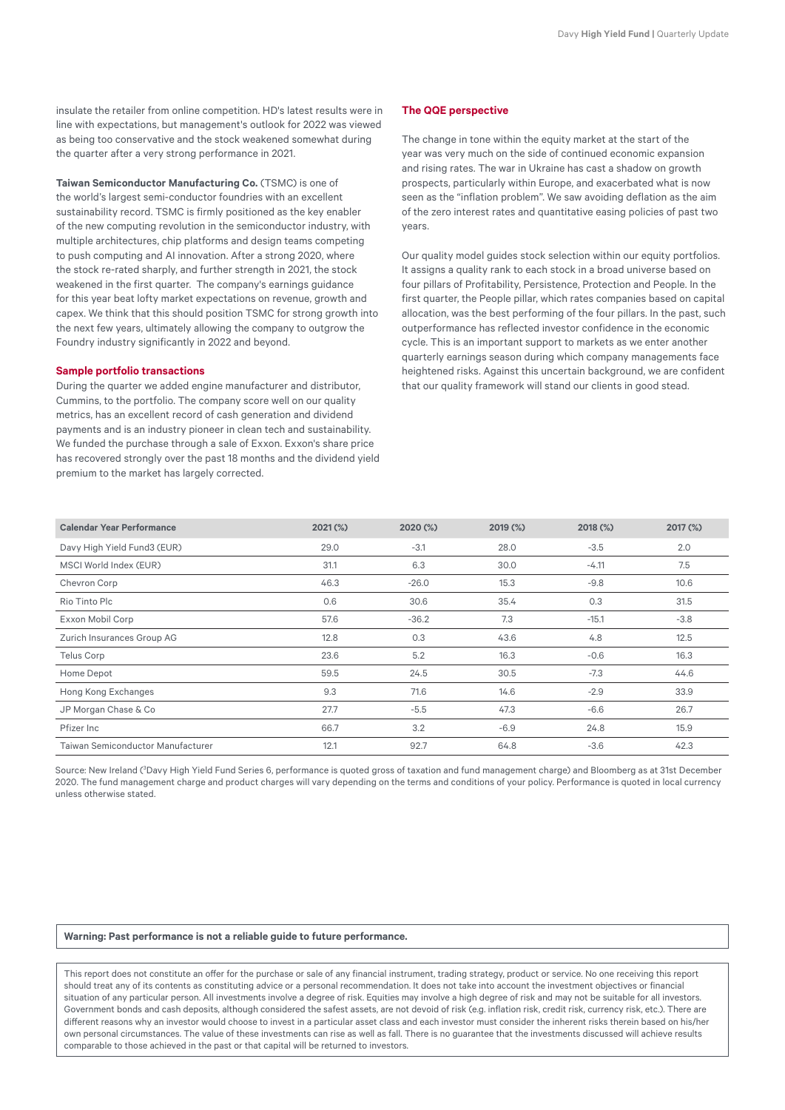insulate the retailer from online competition. HD's latest results were in line with expectations, but management's outlook for 2022 was viewed as being too conservative and the stock weakened somewhat during the quarter after a very strong performance in 2021.

**Taiwan Semiconductor Manufacturing Co.** (TSMC) is one of the world's largest semi-conductor foundries with an excellent sustainability record. TSMC is firmly positioned as the key enabler of the new computing revolution in the semiconductor industry, with multiple architectures, chip platforms and design teams competing to push computing and AI innovation. After a strong 2020, where the stock re-rated sharply, and further strength in 2021, the stock weakened in the first quarter. The company's earnings guidance for this year beat lofty market expectations on revenue, growth and capex. We think that this should position TSMC for strong growth into the next few years, ultimately allowing the company to outgrow the Foundry industry significantly in 2022 and beyond.

#### **Sample portfolio transactions**

During the quarter we added engine manufacturer and distributor, Cummins, to the portfolio. The company score well on our quality metrics, has an excellent record of cash generation and dividend payments and is an industry pioneer in clean tech and sustainability. We funded the purchase through a sale of Exxon. Exxon's share price has recovered strongly over the past 18 months and the dividend yield premium to the market has largely corrected.

#### **The QQE perspective**

The change in tone within the equity market at the start of the year was very much on the side of continued economic expansion and rising rates. The war in Ukraine has cast a shadow on growth prospects, particularly within Europe, and exacerbated what is now seen as the "inflation problem". We saw avoiding deflation as the aim of the zero interest rates and quantitative easing policies of past two years.

Our quality model guides stock selection within our equity portfolios. It assigns a quality rank to each stock in a broad universe based on four pillars of Profitability, Persistence, Protection and People. In the first quarter, the People pillar, which rates companies based on capital allocation, was the best performing of the four pillars. In the past, such outperformance has reflected investor confidence in the economic cycle. This is an important support to markets as we enter another quarterly earnings season during which company managements face heightened risks. Against this uncertain background, we are confident that our quality framework will stand our clients in good stead.

| <b>Calendar Year Performance</b>  | $2021$ (%) | 2020 (%) | 2019 (%) | 2018 (%) | 2017 (%) |  |
|-----------------------------------|------------|----------|----------|----------|----------|--|
| Davy High Yield Fund3 (EUR)       | 29.0       | $-3.1$   | 28.0     | $-3.5$   | 2.0      |  |
| MSCI World Index (EUR)            | 31.1       | 6.3      | 30.0     | $-4.11$  | 7.5      |  |
| Chevron Corp                      | 46.3       | $-26.0$  | 15.3     | $-9.8$   | 10.6     |  |
| Rio Tinto Plc                     | 0.6        | 30.6     | 35.4     | 0.3      | 31.5     |  |
| Exxon Mobil Corp                  | 57.6       | $-36.2$  | 7.3      | $-15.1$  | $-3.8$   |  |
| Zurich Insurances Group AG        | 12.8       | 0.3      | 43.6     | 4.8      | 12.5     |  |
| Telus Corp                        | 23.6       | 5.2      | 16.3     | $-0.6$   | 16.3     |  |
| Home Depot                        | 59.5       | 24.5     | 30.5     | $-7.3$   | 44.6     |  |
| Hong Kong Exchanges               | 9.3        | 71.6     | 14.6     | $-2.9$   | 33.9     |  |
| JP Morgan Chase & Co              | 27.7       | $-5.5$   | 47.3     | $-6.6$   | 26.7     |  |
| Pfizer Inc                        | 66.7       | 3.2      | $-6.9$   | 24.8     | 15.9     |  |
| Taiwan Semiconductor Manufacturer | 12.1       | 92.7     | 64.8     | $-3.6$   | 42.3     |  |

Source: New Ireland (<sup>3</sup>Davy High Yield Fund Series 6, performance is quoted gross of taxation and fund management charge) and Bloomberg as at 31st December 2020. The fund management charge and product charges will vary depending on the terms and conditions of your policy. Performance is quoted in local currency unless otherwise stated.

#### **Warning: Past performance is not a reliable guide to future performance.**

This report does not constitute an offer for the purchase or sale of any financial instrument, trading strategy, product or service. No one receiving this report should treat any of its contents as constituting advice or a personal recommendation. It does not take into account the investment objectives or financial situation of any particular person. All investments involve a degree of risk. Equities may involve a high degree of risk and may not be suitable for all investors. Government bonds and cash deposits, although considered the safest assets, are not devoid of risk (e.g. inflation risk, credit risk, currency risk, etc.). There are different reasons why an investor would choose to invest in a particular asset class and each investor must consider the inherent risks therein based on his/her own personal circumstances. The value of these investments can rise as well as fall. There is no guarantee that the investments discussed will achieve results comparable to those achieved in the past or that capital will be returned to investors.